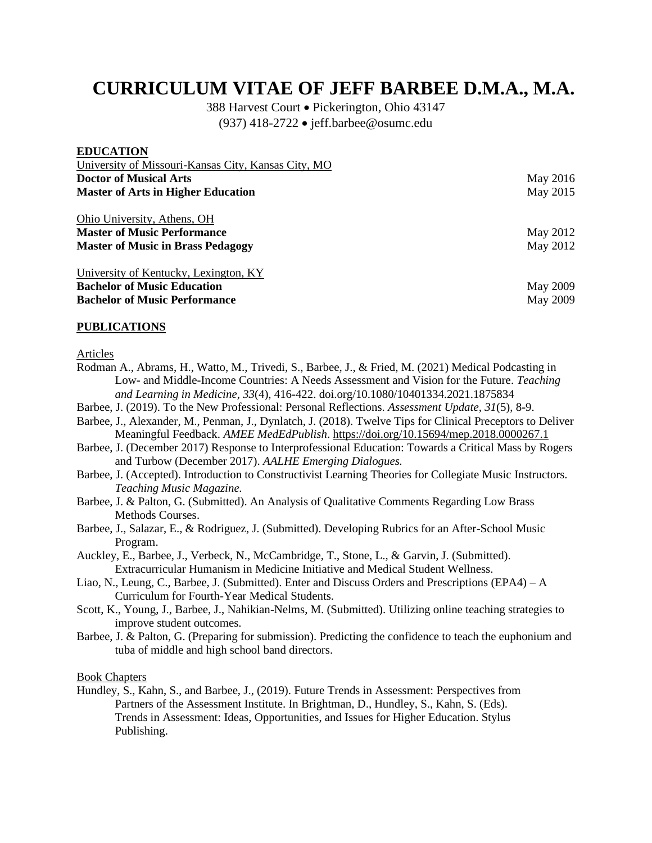# **CURRICULUM VITAE OF JEFF BARBEE D.M.A., M.A.**

388 Harvest Court • Pickerington, Ohio 43147 (937) 418-2722 • jeff.barbee@osumc.edu

| <b>EDUCATION</b>                                    |          |
|-----------------------------------------------------|----------|
| University of Missouri-Kansas City, Kansas City, MO |          |
| <b>Doctor of Musical Arts</b>                       | May 2016 |
| <b>Master of Arts in Higher Education</b>           | May 2015 |
| Ohio University, Athens, OH                         |          |
| <b>Master of Music Performance</b>                  | May 2012 |
| <b>Master of Music in Brass Pedagogy</b>            | May 2012 |
| University of Kentucky, Lexington, KY               |          |
| <b>Bachelor of Music Education</b>                  | May 2009 |
| <b>Bachelor of Music Performance</b>                | May 2009 |

#### **PUBLICATIONS**

Articles

- Rodman A., Abrams, H., Watto, M., Trivedi, S., Barbee, J., & Fried, M. (2021) Medical Podcasting in Low- and Middle-Income Countries: A Needs Assessment and Vision for the Future. *Teaching and Learning in Medicine, 33*(4), 416-422. doi.org/10.1080/10401334.2021.1875834
- Barbee, J. (2019). To the New Professional: Personal Reflections. *Assessment Update, 31*(5), 8-9.
- Barbee, J., Alexander, M., Penman, J., Dynlatch, J. (2018). Twelve Tips for Clinical Preceptors to Deliver Meaningful Feedback. *AMEE MedEdPublish*[. https://doi.org/10.15694/mep.2018.0000267.1](https://doi.org/10.15694/mep.2018.0000267.1)
- Barbee, J. (December 2017) Response to Interprofessional Education: Towards a Critical Mass by Rogers and Turbow (December 2017). *AALHE Emerging Dialogues.*
- Barbee, J. (Accepted). Introduction to Constructivist Learning Theories for Collegiate Music Instructors. *Teaching Music Magazine.*
- Barbee, J. & Palton, G. (Submitted). An Analysis of Qualitative Comments Regarding Low Brass Methods Courses.
- Barbee, J., Salazar, E., & Rodriguez, J. (Submitted). Developing Rubrics for an After-School Music Program.
- Auckley, E., Barbee, J., Verbeck, N., McCambridge, T., Stone, L., & Garvin, J. (Submitted). Extracurricular Humanism in Medicine Initiative and Medical Student Wellness.
- Liao, N., Leung, C., Barbee, J. (Submitted). Enter and Discuss Orders and Prescriptions (EPA4) A Curriculum for Fourth-Year Medical Students.
- Scott, K., Young, J., Barbee, J., Nahikian-Nelms, M. (Submitted). Utilizing online teaching strategies to improve student outcomes.
- Barbee, J. & Palton, G. (Preparing for submission). Predicting the confidence to teach the euphonium and tuba of middle and high school band directors.

Book Chapters

Hundley, S., Kahn, S., and Barbee, J., (2019). Future Trends in Assessment: Perspectives from Partners of the Assessment Institute. In Brightman, D., Hundley, S., Kahn, S. (Eds). Trends in Assessment: Ideas, Opportunities, and Issues for Higher Education. Stylus Publishing.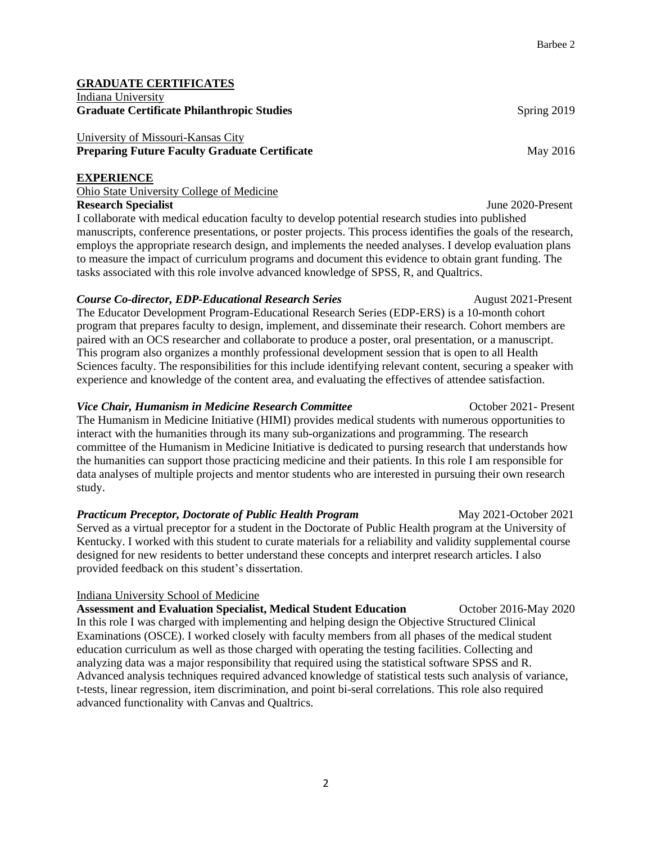#### **GRADUATE CERTIFICATES** Indiana University **Graduate Certificate Philanthropic Studies Spring 2019** Spring 2019

## University of Missouri-Kansas City **Preparing Future Faculty Graduate Certificate**  May 2016

#### **EXPERIENCE**

## Ohio State University College of Medicine **Research Specialist** June 2020-Present

I collaborate with medical education faculty to develop potential research studies into published manuscripts, conference presentations, or poster projects. This process identifies the goals of the research, employs the appropriate research design, and implements the needed analyses. I develop evaluation plans to measure the impact of curriculum programs and document this evidence to obtain grant funding. The tasks associated with this role involve advanced knowledge of SPSS, R, and Qualtrics.

## **Course Co-director, EDP-Educational Research Series** August 2021-Present

The Educator Development Program-Educational Research Series (EDP-ERS) is a 10-month cohort program that prepares faculty to design, implement, and disseminate their research. Cohort members are paired with an OCS researcher and collaborate to produce a poster, oral presentation, or a manuscript. This program also organizes a monthly professional development session that is open to all Health Sciences faculty. The responsibilities for this include identifying relevant content, securing a speaker with experience and knowledge of the content area, and evaluating the effectives of attendee satisfaction.

## *Vice Chair, Humanism in Medicine Research Committee* **Committee** October 2021- Present

The Humanism in Medicine Initiative (HIMI) provides medical students with numerous opportunities to interact with the humanities through its many sub-organizations and programming. The research committee of the Humanism in Medicine Initiative is dedicated to pursing research that understands how the humanities can support those practicing medicine and their patients. In this role I am responsible for data analyses of multiple projects and mentor students who are interested in pursuing their own research study.

## *Practicum Preceptor, Doctorate of Public Health Program* May 2021-October 2021

Served as a virtual preceptor for a student in the Doctorate of Public Health program at the University of Kentucky. I worked with this student to curate materials for a reliability and validity supplemental course designed for new residents to better understand these concepts and interpret research articles. I also provided feedback on this student's dissertation.

## Indiana University School of Medicine

Assessment and Evaluation Specialist, Medical Student Education **October 2016-May 2020** In this role I was charged with implementing and helping design the Objective Structured Clinical Examinations (OSCE). I worked closely with faculty members from all phases of the medical student education curriculum as well as those charged with operating the testing facilities. Collecting and analyzing data was a major responsibility that required using the statistical software SPSS and R. Advanced analysis techniques required advanced knowledge of statistical tests such analysis of variance, t-tests, linear regression, item discrimination, and point bi-seral correlations. This role also required advanced functionality with Canvas and Qualtrics.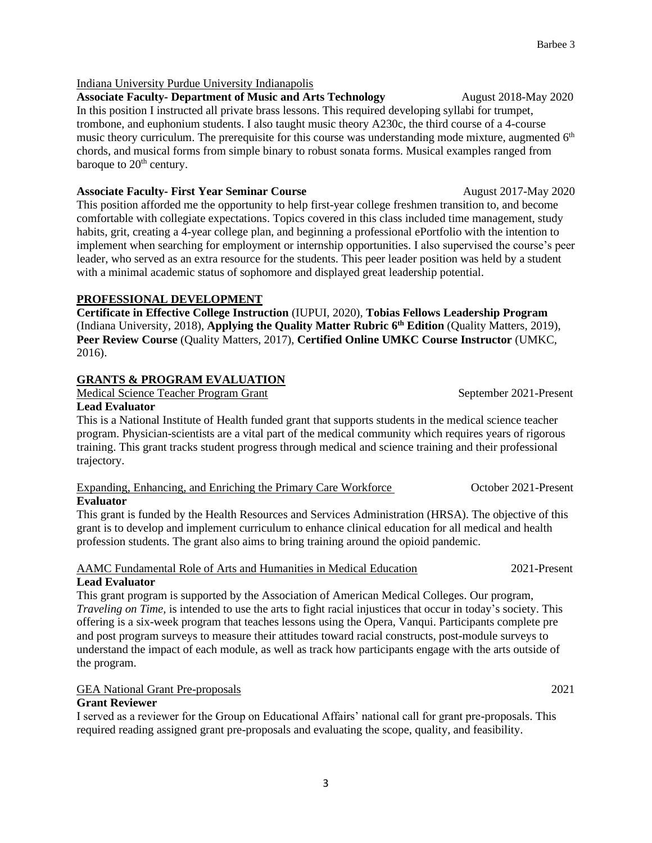#### Indiana University Purdue University Indianapolis

Associate Faculty-Department of Music and Arts Technology **August 2018-May 2020** In this position I instructed all private brass lessons. This required developing syllabi for trumpet, trombone, and euphonium students. I also taught music theory A230c, the third course of a 4-course music theory curriculum. The prerequisite for this course was understanding mode mixture, augmented 6<sup>th</sup> chords, and musical forms from simple binary to robust sonata forms. Musical examples ranged from baroque to  $20<sup>th</sup>$  century.

**Associate Faculty- First Year Seminar Course <b>August 2017-May 2020** 

This position afforded me the opportunity to help first-year college freshmen transition to, and become comfortable with collegiate expectations. Topics covered in this class included time management, study habits, grit, creating a 4-year college plan, and beginning a professional ePortfolio with the intention to implement when searching for employment or internship opportunities. I also supervised the course's peer leader, who served as an extra resource for the students. This peer leader position was held by a student with a minimal academic status of sophomore and displayed great leadership potential.

#### **PROFESSIONAL DEVELOPMENT**

**Certificate in Effective College Instruction** (IUPUI, 2020), **Tobias Fellows Leadership Program**  (Indiana University, 2018), **Applying the Quality Matter Rubric 6 th Edition** (Quality Matters, 2019), **Peer Review Course** (Quality Matters, 2017), **Certified Online UMKC Course Instructor** (UMKC, 2016).

## **GRANTS & PROGRAM EVALUATION**

Medical Science Teacher Program Grant September 2021-Present

#### **Lead Evaluator**

This is a National Institute of Health funded grant that supports students in the medical science teacher program. Physician-scientists are a vital part of the medical community which requires years of rigorous training. This grant tracks student progress through medical and science training and their professional trajectory.

# Expanding, Enhancing, and Enriching the Primary Care Workforce October 2021-Present

#### **Evaluator**

This grant is funded by the Health Resources and Services Administration (HRSA). The objective of this grant is to develop and implement curriculum to enhance clinical education for all medical and health profession students. The grant also aims to bring training around the opioid pandemic.

#### AAMC Fundamental Role of Arts and Humanities in Medical Education 2021-Present **Lead Evaluator**

This grant program is supported by the Association of American Medical Colleges. Our program, *Traveling on Time,* is intended to use the arts to fight racial injustices that occur in today's society. This offering is a six-week program that teaches lessons using the Opera, Vanqui. Participants complete pre and post program surveys to measure their attitudes toward racial constructs, post-module surveys to understand the impact of each module, as well as track how participants engage with the arts outside of the program.

## GEA National Grant Pre-proposals 2021

## **Grant Reviewer**

I served as a reviewer for the Group on Educational Affairs' national call for grant pre-proposals. This required reading assigned grant pre-proposals and evaluating the scope, quality, and feasibility.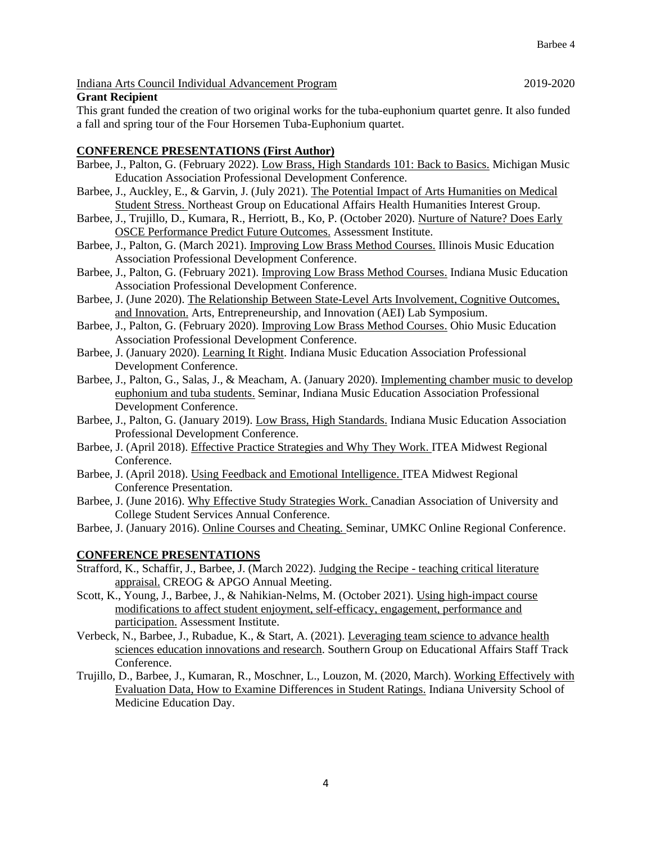#### Indiana Arts Council Individual Advancement Program 2019-2020

#### **Grant Recipient**

This grant funded the creation of two original works for the tuba-euphonium quartet genre. It also funded a fall and spring tour of the Four Horsemen Tuba-Euphonium quartet.

#### **CONFERENCE PRESENTATIONS (First Author)**

- Barbee, J., Palton, G. (February 2022). Low Brass, High Standards 101: Back to Basics. Michigan Music Education Association Professional Development Conference.
- Barbee, J., Auckley, E., & Garvin, J. (July 2021). The Potential Impact of Arts Humanities on Medical Student Stress. Northeast Group on Educational Affairs Health Humanities Interest Group.
- Barbee, J., Trujillo, D., Kumara, R., Herriott, B., Ko, P. (October 2020). Nurture of Nature? Does Early OSCE Performance Predict Future Outcomes. Assessment Institute.
- Barbee, J., Palton, G. (March 2021). Improving Low Brass Method Courses. Illinois Music Education Association Professional Development Conference.
- Barbee, J., Palton, G. (February 2021). Improving Low Brass Method Courses. Indiana Music Education Association Professional Development Conference.
- Barbee, J. (June 2020). The Relationship Between State-Level Arts Involvement, Cognitive Outcomes, and Innovation. Arts, Entrepreneurship, and Innovation (AEI) Lab Symposium.
- Barbee, J., Palton, G. (February 2020). Improving Low Brass Method Courses. Ohio Music Education Association Professional Development Conference.
- Barbee, J. (January 2020). Learning It Right. Indiana Music Education Association Professional Development Conference.
- Barbee, J., Palton, G., Salas, J., & Meacham, A. (January 2020). Implementing chamber music to develop euphonium and tuba students. Seminar, Indiana Music Education Association Professional Development Conference.
- Barbee, J., Palton, G. (January 2019). Low Brass, High Standards. Indiana Music Education Association Professional Development Conference.
- Barbee, J. (April 2018). Effective Practice Strategies and Why They Work. ITEA Midwest Regional Conference.
- Barbee, J. (April 2018). Using Feedback and Emotional Intelligence. ITEA Midwest Regional Conference Presentation.
- Barbee, J. (June 2016). Why Effective Study Strategies Work. Canadian Association of University and College Student Services Annual Conference.
- Barbee, J. (January 2016). Online Courses and Cheating. Seminar, UMKC Online Regional Conference.

#### **CONFERENCE PRESENTATIONS**

- Strafford, K., Schaffir, J., Barbee, J. (March 2022). Judging the Recipe teaching critical literature appraisal. CREOG & APGO Annual Meeting.
- Scott, K., Young, J., Barbee, J., & Nahikian-Nelms, M. (October 2021). Using high-impact course modifications to affect student enjoyment, self-efficacy, engagement, performance and participation. Assessment Institute.
- Verbeck, N., Barbee, J., Rubadue, K., & Start, A. (2021). Leveraging team science to advance health sciences education innovations and research. Southern Group on Educational Affairs Staff Track Conference.
- Trujillo, D., Barbee, J., Kumaran, R., Moschner, L., Louzon, M. (2020, March). Working Effectively with Evaluation Data, How to Examine Differences in Student Ratings. Indiana University School of Medicine Education Day.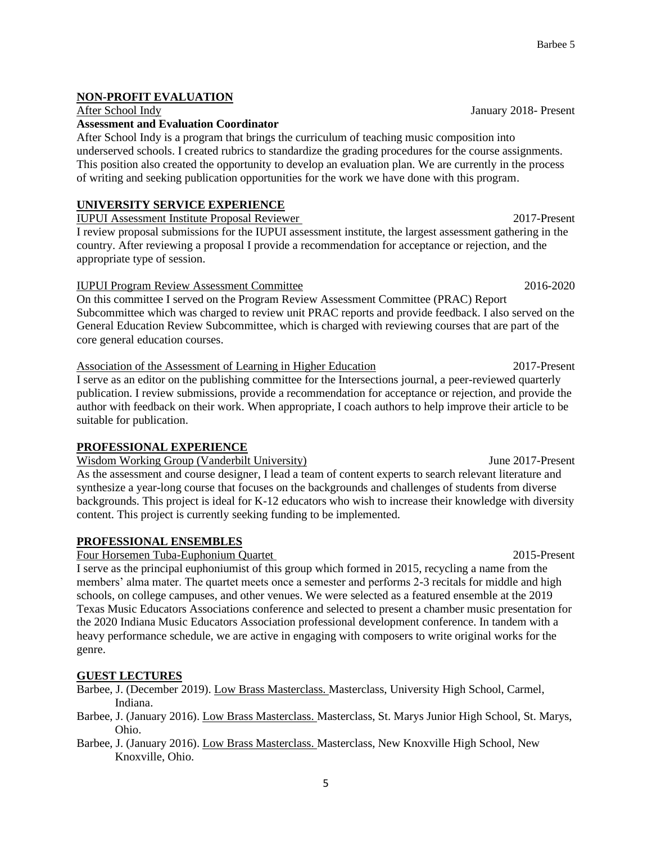After School Indy January 2018- Present

**NON-PROFIT EVALUATION**

## **Assessment and Evaluation Coordinator**

After School Indy is a program that brings the curriculum of teaching music composition into underserved schools. I created rubrics to standardize the grading procedures for the course assignments. This position also created the opportunity to develop an evaluation plan. We are currently in the process of writing and seeking publication opportunities for the work we have done with this program.

## **UNIVERSITY SERVICE EXPERIENCE**

IUPUI Assessment Institute Proposal Reviewer 2017-Present I review proposal submissions for the IUPUI assessment institute, the largest assessment gathering in the

country. After reviewing a proposal I provide a recommendation for acceptance or rejection, and the appropriate type of session.

#### IUPUI Program Review Assessment Committee 2016-2020

On this committee I served on the Program Review Assessment Committee (PRAC) Report Subcommittee which was charged to review unit PRAC reports and provide feedback. I also served on the General Education Review Subcommittee, which is charged with reviewing courses that are part of the core general education courses.

Association of the Assessment of Learning in Higher Education 2017-Present I serve as an editor on the publishing committee for the Intersections journal, a peer-reviewed quarterly publication. I review submissions, provide a recommendation for acceptance or rejection, and provide the author with feedback on their work. When appropriate, I coach authors to help improve their article to be suitable for publication.

## **PROFESSIONAL EXPERIENCE**

Wisdom Working Group (Vanderbilt University) Superson Museum June 2017-Present As the assessment and course designer, I lead a team of content experts to search relevant literature and synthesize a year-long course that focuses on the backgrounds and challenges of students from diverse backgrounds. This project is ideal for K-12 educators who wish to increase their knowledge with diversity content. This project is currently seeking funding to be implemented.

## **PROFESSIONAL ENSEMBLES**

Four Horsemen Tuba-Euphonium Quartet 2015-Present

I serve as the principal euphoniumist of this group which formed in 2015, recycling a name from the members' alma mater. The quartet meets once a semester and performs 2-3 recitals for middle and high schools, on college campuses, and other venues. We were selected as a featured ensemble at the 2019 Texas Music Educators Associations conference and selected to present a chamber music presentation for the 2020 Indiana Music Educators Association professional development conference. In tandem with a heavy performance schedule, we are active in engaging with composers to write original works for the genre.

## **GUEST LECTURES**

Barbee, J. (December 2019). Low Brass Masterclass. Masterclass, University High School, Carmel, Indiana.

- Barbee, J. (January 2016). Low Brass Masterclass. Masterclass, St. Marys Junior High School, St. Marys, Ohio.
- Barbee, J. (January 2016). Low Brass Masterclass. Masterclass, New Knoxville High School, New Knoxville, Ohio.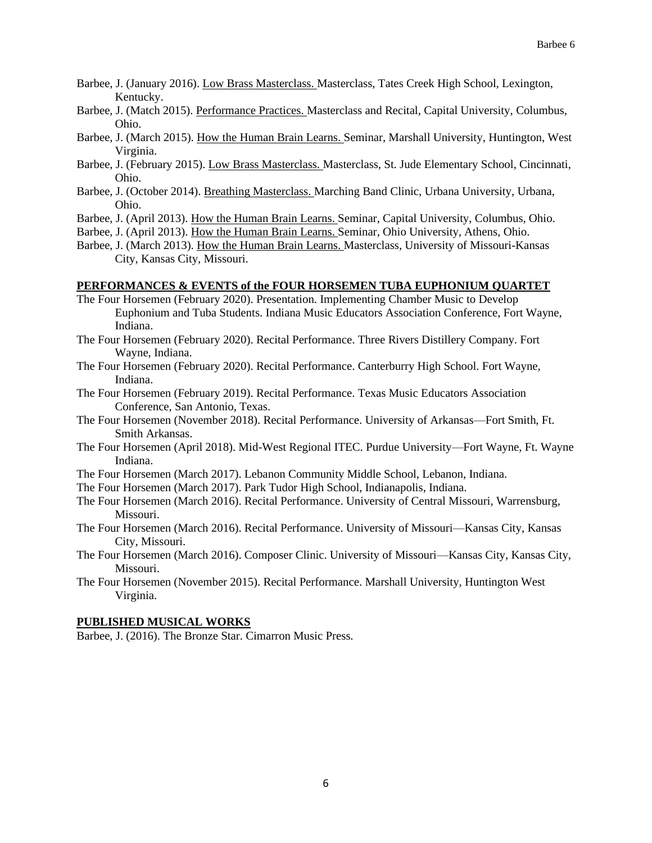- Barbee, J. (January 2016). Low Brass Masterclass. Masterclass, Tates Creek High School, Lexington, Kentucky.
- Barbee, J. (Match 2015). Performance Practices. Masterclass and Recital, Capital University, Columbus, Ohio.
- Barbee, J. (March 2015). How the Human Brain Learns. Seminar, Marshall University, Huntington, West Virginia.
- Barbee, J. (February 2015). Low Brass Masterclass. Masterclass, St. Jude Elementary School, Cincinnati, Ohio.
- Barbee, J. (October 2014). Breathing Masterclass. Marching Band Clinic, Urbana University, Urbana, Ohio.
- Barbee, J. (April 2013). How the Human Brain Learns. Seminar, Capital University, Columbus, Ohio.
- Barbee, J. (April 2013). How the Human Brain Learns. Seminar, Ohio University, Athens, Ohio.
- Barbee, J. (March 2013). How the Human Brain Learns. Masterclass, University of Missouri-Kansas City, Kansas City, Missouri.

#### **PERFORMANCES & EVENTS of the FOUR HORSEMEN TUBA EUPHONIUM QUARTET**

- The Four Horsemen (February 2020). Presentation. Implementing Chamber Music to Develop Euphonium and Tuba Students. Indiana Music Educators Association Conference, Fort Wayne, Indiana.
- The Four Horsemen (February 2020). Recital Performance. Three Rivers Distillery Company. Fort Wayne, Indiana.
- The Four Horsemen (February 2020). Recital Performance. Canterburry High School. Fort Wayne, Indiana.
- The Four Horsemen (February 2019). Recital Performance. Texas Music Educators Association Conference, San Antonio, Texas.
- The Four Horsemen (November 2018). Recital Performance. University of Arkansas—Fort Smith, Ft. Smith Arkansas.
- The Four Horsemen (April 2018). Mid-West Regional ITEC. Purdue University—Fort Wayne, Ft. Wayne Indiana.
- The Four Horsemen (March 2017). Lebanon Community Middle School, Lebanon, Indiana.
- The Four Horsemen (March 2017). Park Tudor High School, Indianapolis, Indiana.
- The Four Horsemen (March 2016). Recital Performance. University of Central Missouri, Warrensburg, Missouri.
- The Four Horsemen (March 2016). Recital Performance. University of Missouri—Kansas City, Kansas City, Missouri.
- The Four Horsemen (March 2016). Composer Clinic. University of Missouri—Kansas City, Kansas City, Missouri.
- The Four Horsemen (November 2015). Recital Performance. Marshall University, Huntington West Virginia.

#### **PUBLISHED MUSICAL WORKS**

Barbee, J. (2016). The Bronze Star. Cimarron Music Press.